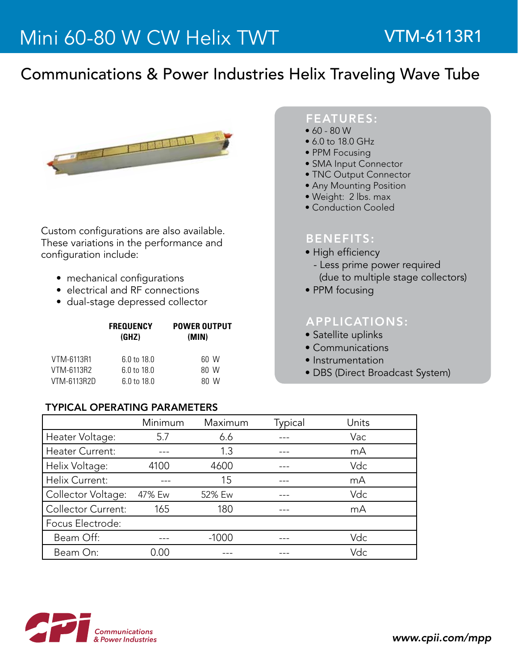## Communications & Power Industries Helix Traveling Wave Tube



Custom configurations are also available. These variations in the performance and configuration include:

- mechanical configurations
- electrical and RF connections
- dual-stage depressed collector

|             | <b>FREQUENCY</b><br>(GHZ) | <b>POWER OUTPUT</b><br>(MIN) |  |
|-------------|---------------------------|------------------------------|--|
| VTM-6113R1  | 6.0 to 18.0               | 60 W                         |  |
| VTM-6113R2  | 6.0 to 18.0               | 80 W                         |  |
| VTM-6113R2D | 6 0 to 18 0               | 80 W                         |  |

#### TyPICAL OPERATING PARAMETERS

## FEATURES:

- $60 80 W$
- 6.0 to 18.0 GHz
- PPM Focusing
- SMA Input Connector
- TNC Output Connector
- Any Mounting Position
- Weight: 2 lbs. max
- Conduction Cooled

#### BENEFITS:

- High efficiency
- Less prime power required (due to multiple stage collectors)
- PPM focusing

## APPLICATIONS:

- Satellite uplinks
- Communications
- Instrumentation
- DBS (Direct Broadcast System)

|                           | Minimum | Maximum | Typical | Units |
|---------------------------|---------|---------|---------|-------|
| Heater Voltage:           | 5.7     | 6.6     |         | Vac   |
| <b>Heater Current:</b>    |         | 1.3     |         | mA    |
| Helix Voltage:            | 4100    | 4600    |         | Vdc   |
| Helix Current:            |         | 15      |         | mA    |
| Collector Voltage:        | 47% Ew  | 52% Ew  |         | Vdc   |
| <b>Collector Current:</b> | 165     | 180     |         | mA    |
| Focus Electrode:          |         |         |         |       |
| Beam Off:                 |         | $-1000$ |         | Vdc   |
| Beam On:                  | N 00    |         |         | Vdc   |